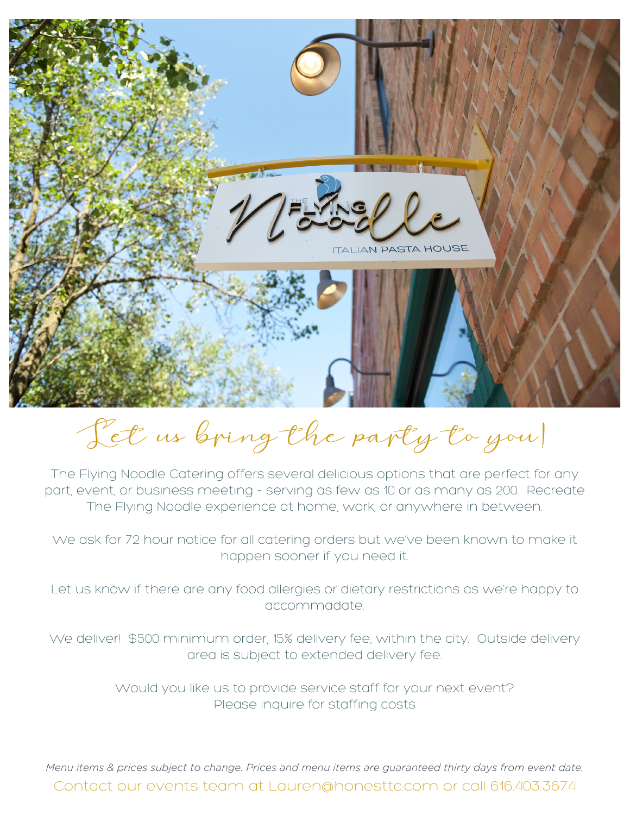

Let us bring the party to you!

The Flying Noodle Catering offers several delicious options that are perfect for any part, event, or business meeting - serving as few as 10 or as many as 200. Recreate The Flying Noodle experience at home, work, or anywhere in between.

We ask for 72 hour notice for all catering orders but we've been known to make it happen sooner if you need it.

Let us know if there are any food allergies or dietary restrictions as we're happy to accommadate.

We deliver! \$500 minimum order, 15% delivery fee, within the city. Outside delivery area is subject to extended delivery fee.

> Would you like us to provide service staff for your next event? Please inquire for staffing costs

Contact our events team at Lauren@honesttc.com or call 616.403.3674 *Menu items & prices subject to change. Prices and menu items are guaranteed thirty days from event date.*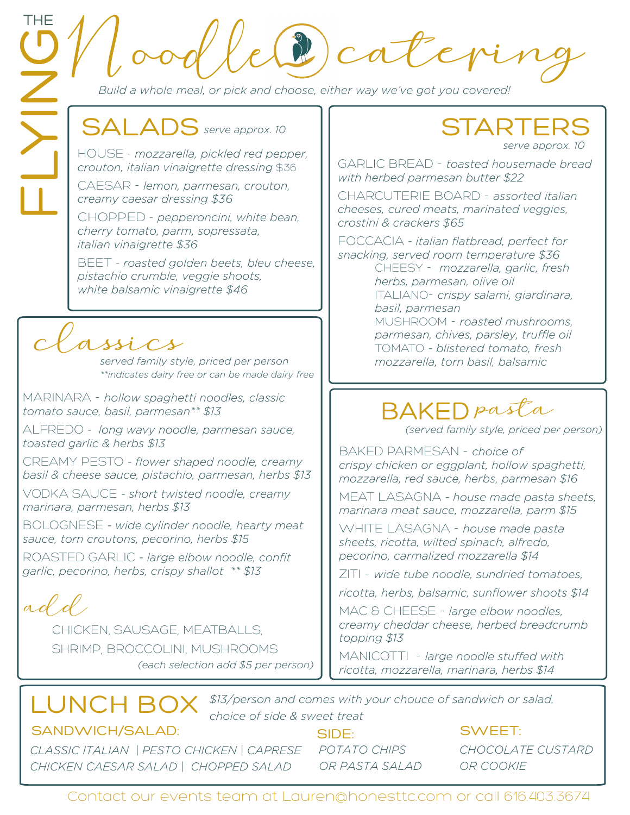e (2) cater

*Build a whole meal, or pick and choose, either way we've got you covered!* 

## SALADS serve approx. 10

HOUSE - *mozzarella, pickled red pepper, crouton, italian vinaigrette dressing* \$36

CAESAR - *lemon, parmesan, crouton, creamy caesar dressing \$36*

CHOPPED - *pepperoncini, white bean, cherry tomato, parm, sopressata, italian vinaigrette \$36*

BEET - *roasted golden beets, bleu cheese, pistachio crumble, veggie shoots, white balsamic vinaigrette \$46*

### assics

*served family style, priced per person \*\*indicates dairy free or can be made dairy free*

MARINARA - *hollow spaghetti noodles, classic tomato sauce, basil, parmesan\*\* \$13*

ALFREDO *- long wavy noodle, parmesan sauce, toasted garlic & herbs \$13*

CREAMY PESTO *- flower shaped noodle, creamy basil & cheese sauce, pistachio, parmesan, herbs \$13*

VODKA SAUCE *- short twisted noodle, creamy marinara, parmesan, herbs \$13*

BOLOGNESE *- wide cylinder noodle, hearty meat sauce, torn croutons, pecorino, herbs \$15*

ROASTED GARLIC *- large elbow noodle, confit garlic, pecorino, herbs, crispy shallot \*\* \$13*

add.

CHICKEN, SAUSAGE, MEATBALLS, SHRIMP, BROCCOLINI, MUSHROOMS *(each selection add \$5 per person)* 

#### **STARTERS** *serve approx. 10*

GARLIC BREAD - *toasted housemade bread with herbed parmesan butter \$22*

CHARCUTERIE BOARD - *assorted italian cheeses, cured meats, marinated veggies, crostini & crackers \$65*

FOCCACIA *- italian flatbread, perfect for snacking, served room temperature \$36*

> CHEESY - *mozzarella, garlic, fresh herbs, parmesan, olive oil*  ITALIANO- *crispy salami, giardinara, basil, parmesan* MUSHROOM - *roasted mushrooms, parmesan, chives, parsley, truffle oil* TOMATO *- blistered tomato, fresh mozzarella, torn basil, balsamic*

## BAKED pasta

*(served family style, priced per person)*

BAKED PARMESAN - *choice of crispy chicken or eggplant, hollow spaghetti, mozzarella, red sauce, herbs, parmesan \$16*

MEAT LASAGNA *- house made pasta sheets, marinara meat sauce, mozzarella, parm \$15*

WHITE LASAGNA - *house made pasta sheets, ricotta, wilted spinach, alfredo, pecorino, carmalized mozzarella \$14*

ZITI - *wide tube noodle, sundried tomatoes,* 

*ricotta, herbs, balsamic, sunflower shoots \$14*

MAC & CHEESE - *large elbow noodles, creamy cheddar cheese, herbed breadcrumb topping \$13*

MANICOTTI - *large noodle stuffed with ricotta, mozzarella, marinara, herbs \$14*

LUNCH BOX *\$13/person and comes with your chouce of sandwich or salad, choice of side & sweet treat*

#### SANDWICH/SALAD:

*CLASSIC ITALIAN | PESTO CHICKEN | CAPRESE CHICKEN CAESAR SALAD | CHOPPED SALAD*

SIDE: *POTATO CHIPS OR PASTA SALAD*

#### SWEET:

*CHOCOLATE CUSTARD OR COOKIE*

Contact our events team at Lauren@honesttc.com or call 616.403.3674